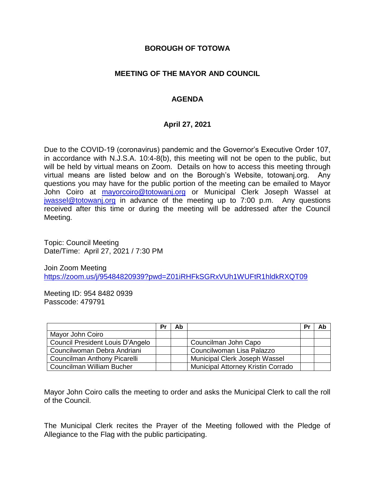#### **BOROUGH OF TOTOWA**

### **MEETING OF THE MAYOR AND COUNCIL**

# **AGENDA**

### **April 27, 2021**

Due to the COVID-19 (coronavirus) pandemic and the Governor's Executive Order 107, in accordance with N.J.S.A. 10:4-8(b), this meeting will not be open to the public, but will be held by virtual means on Zoom. Details on how to access this meeting through virtual means are listed below and on the Borough's Website, totowanj.org. Any questions you may have for the public portion of the meeting can be emailed to Mayor John Coiro at [mayorcoiro@totowanj.org](mailto:mayorcoiro@totowanj.org) or Municipal Clerk Joseph Wassel at [jwassel@totowanj.org](mailto:jwassel@totowanj.org) in advance of the meeting up to 7:00 p.m. Any questions received after this time or during the meeting will be addressed after the Council Meeting.

Topic: Council Meeting Date/Time: April 27, 2021 / 7:30 PM

Join Zoom Meeting <https://zoom.us/j/95484820939?pwd=Z01iRHFkSGRxVUh1WUFtR1hldkRXQT09>

Meeting ID: 954 8482 0939 Passcode: 479791

|                                  | Pr | Ab |                                           | Pr | Ab |
|----------------------------------|----|----|-------------------------------------------|----|----|
| Mayor John Coiro                 |    |    |                                           |    |    |
| Council President Louis D'Angelo |    |    | Councilman John Capo                      |    |    |
| Councilwoman Debra Andriani      |    |    | Councilwoman Lisa Palazzo                 |    |    |
| Councilman Anthony Picarelli     |    |    | Municipal Clerk Joseph Wassel             |    |    |
| Councilman William Bucher        |    |    | <b>Municipal Attorney Kristin Corrado</b> |    |    |

Mayor John Coiro calls the meeting to order and asks the Municipal Clerk to call the roll of the Council.

The Municipal Clerk recites the Prayer of the Meeting followed with the Pledge of Allegiance to the Flag with the public participating.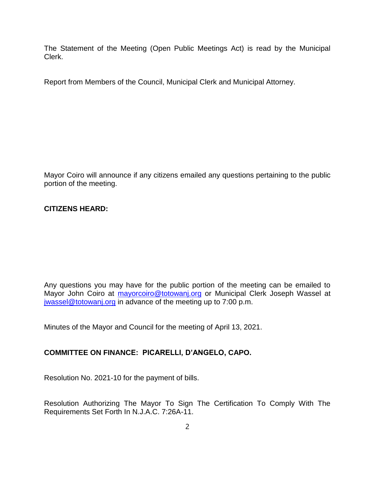The Statement of the Meeting (Open Public Meetings Act) is read by the Municipal Clerk.

Report from Members of the Council, Municipal Clerk and Municipal Attorney.

Mayor Coiro will announce if any citizens emailed any questions pertaining to the public portion of the meeting.

### **CITIZENS HEARD:**

Any questions you may have for the public portion of the meeting can be emailed to Mayor John Coiro at [mayorcoiro@totowanj.org](mailto:mayorcoiro@totowanj.org) or Municipal Clerk Joseph Wassel at [jwassel@totowanj.org](mailto:jwassel@totowanj.org) in advance of the meeting up to 7:00 p.m.

Minutes of the Mayor and Council for the meeting of April 13, 2021.

# **COMMITTEE ON FINANCE: PICARELLI, D'ANGELO, CAPO.**

Resolution No. 2021-10 for the payment of bills.

Resolution Authorizing The Mayor To Sign The Certification To Comply With The Requirements Set Forth In N.J.A.C. 7:26A-11.